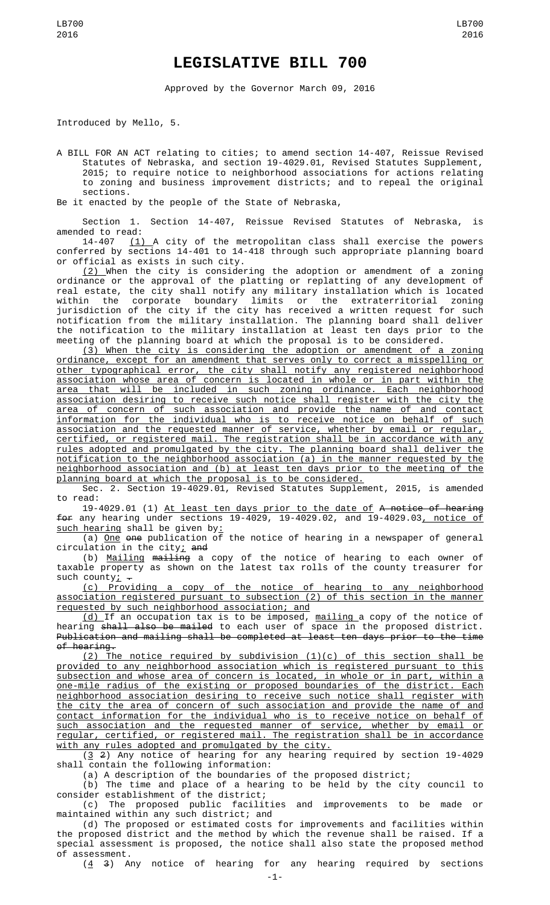## **LEGISLATIVE BILL 700**

Approved by the Governor March 09, 2016

Introduced by Mello, 5.

A BILL FOR AN ACT relating to cities; to amend section 14-407, Reissue Revised Statutes of Nebraska, and section 19-4029.01, Revised Statutes Supplement, 2015; to require notice to neighborhood associations for actions relating to zoning and business improvement districts; and to repeal the original sections.

Be it enacted by the people of the State of Nebraska,

Section 1. Section 14-407, Reissue Revised Statutes of Nebraska, is amended to read:

14-407 <u>(1) A</u> city of the metropolitan class shall exercise the powers conferred by sections 14-401 to 14-418 through such appropriate planning board or official as exists in such city.

<u>(2) </u>When the city is considering the adoption or amendment of a zoning ordinance or the approval of the platting or replatting of any development of real estate, the city shall notify any military installation which is located within the corporate boundary limits or the extraterritorial zoning jurisdiction of the city if the city has received a written request for such notification from the military installation. The planning board shall deliver the notification to the military installation at least ten days prior to the meeting of the planning board at which the proposal is to be considered.

(3) When the city is considering the adoption or amendment of a zoning ordinance, except for an amendment that serves only to correct a misspelling or other typographical error, the city shall notify any registered neighborhood association whose area of concern is located in whole or in part within the area that will be included in such zoning ordinance. Each neighborhood association desiring to receive such notice shall register with the city the area of concern of such association and provide the name of and contact information for the individual who is to receive notice on behalf of such association and the requested manner of service, whether by email or regular, certified, or registered mail. The registration shall be in accordance with any rules adopted and promulgated by the city. The planning board shall deliver the notification to the neighborhood association (a) in the manner requested by the neighborhood association and (b) at least ten days prior to the meeting of the planning board at which the proposal is to be considered.

Sec. 2. Section 19-4029.01, Revised Statutes Supplement, 2015, is amended to read:

19-4029.01 (1) At least ten days prior to the date of A notice of hearing for any hearing under sections 19-4029, 19-4029.02, and 19-4029.03, notice of such hearing shall be given by:

 $(a)$  One one publication of the notice of hearing in a newspaper of general circulation in the city; and

(b) Mailing mailing a copy of the notice of hearing to each owner of taxable property as shown on the latest tax rolls of the county treasurer for such county;  $\overline{\phantom{a}}$ 

(c) Providing a copy of the notice of hearing to any neighborhood association registered pursuant to subsection (2) of this section in the manner requested by such neighborhood association; and

<u>(d) </u>If an occupation tax is to be imposed, <u>mailing </u>a copy of the notice of hearing <del>shall also be mailed</del> to each user of space in the proposed district. Publication and mailing shall be completed at least ten days prior to the time of hearing.

 $(2)$  The notice required by subdivision  $(1)(c)$  of this section shall be provided to any neighborhood association which is registered pursuant to this subsection and whose area of concern is located, in whole or in part, within a one-mile radius of the existing or proposed boundaries of the district. Each neighborhood association desiring to receive such notice shall register with the city the area of concern of such association and provide the name of and contact information for the individual who is to receive notice on behalf of such association and the requested manner of service, whether by email or regular, certified, or registered mail. The registration shall be in accordance with any rules adopted and promulgated by the city.

(3 2) Any notice of hearing for any hearing required by section 19-4029 shall contain the following information:

(a) A description of the boundaries of the proposed district;

(b) The time and place of a hearing to be held by the city council to consider establishment of the district;

(c) The proposed public facilities and improvements to be made or maintained within any such district; and

(d) The proposed or estimated costs for improvements and facilities within the proposed district and the method by which the revenue shall be raised. If a special assessment is proposed, the notice shall also state the proposed method of assessment.

 $(4, 3)$  Any notice of hearing for any hearing required by sections